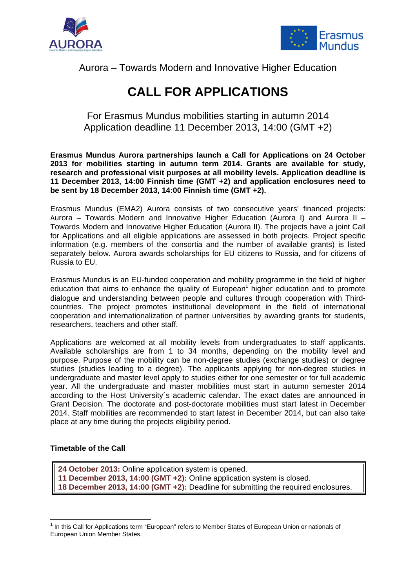



# Aurora – Towards Modern and Innovative Higher Education

# **CALL FOR APPLICATIONS**

For Erasmus Mundus mobilities starting in autumn 2014 Application deadline 11 December 2013, 14:00 (GMT +2)

**Erasmus Mundus Aurora partnerships launch a Call for Applications on 24 October 2013 for mobilities starting in autumn term 2014. Grants are available for study, research and professional visit purposes at all mobility levels. Application deadline is 11 December 2013, 14:00 Finnish time (GMT +2) and application enclosures need to be sent by 18 December 2013, 14:00 Finnish time (GMT +2).** 

Erasmus Mundus (EMA2) Aurora consists of two consecutive years' financed projects: Aurora – Towards Modern and Innovative Higher Education (Aurora I) and Aurora II – Towards Modern and Innovative Higher Education (Aurora II). The projects have a joint Call for Applications and all eligible applications are assessed in both projects. Project specific information (e.g. members of the consortia and the number of available grants) is listed separately below. Aurora awards scholarships for EU citizens to Russia, and for citizens of Russia to EU.

Erasmus Mundus is an EU-funded cooperation and mobility programme in the field of higher education that aims to enhance the quality of European $1$  higher education and to promote dialogue and understanding between people and cultures through cooperation with Thirdcountries. The project promotes institutional development in the field of international cooperation and internationalization of partner universities by awarding grants for students, researchers, teachers and other staff.

Applications are welcomed at all mobility levels from undergraduates to staff applicants. Available scholarships are from 1 to 34 months, depending on the mobility level and purpose. Purpose of the mobility can be non-degree studies (exchange studies) or degree studies (studies leading to a degree). The applicants applying for non-degree studies in undergraduate and master level apply to studies either for one semester or for full academic year. All the undergraduate and master mobilities must start in autumn semester 2014 according to the Host University´s academic calendar. The exact dates are announced in Grant Decision. The doctorate and post-doctorate mobilities must start latest in December 2014. Staff mobilities are recommended to start latest in December 2014, but can also take place at any time during the projects eligibility period.

# **Timetable of the Call**

**24 October 2013:** Online application system is opened. **11 December 2013, 14:00 (GMT +2):** Online application system is closed. **18 December 2013, 14:00 (GMT +2):** Deadline for submitting the required enclosures.

<sup>&</sup>lt;u> - Andreas Andreas Andreas Andreas Andreas Andreas Andreas Andreas Andreas Andreas Andreas Andreas Andreas Andr</u> <sup>1</sup> In this Call for Applications term "European" refers to Member States of European Union or nationals of European Union Member States.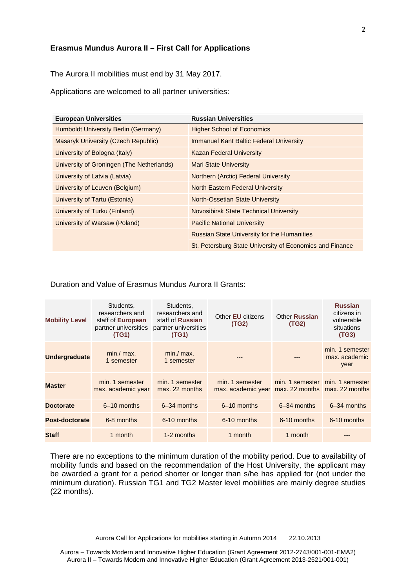#### **Erasmus Mundus Aurora II – First Call for Applications**

The Aurora II mobilities must end by 31 May 2017.

Applications are welcomed to all partner universities:

| <b>European Universities</b>              | <b>Russian Universities</b>                              |
|-------------------------------------------|----------------------------------------------------------|
| Humboldt University Berlin (Germany)      | <b>Higher School of Economics</b>                        |
| Masaryk University (Czech Republic)       | <b>Immanuel Kant Baltic Federal University</b>           |
| University of Bologna (Italy)             | <b>Kazan Federal University</b>                          |
| University of Groningen (The Netherlands) | <b>Mari State University</b>                             |
| University of Latvia (Latvia)             | <b>Northern (Arctic) Federal University</b>              |
| University of Leuven (Belgium)            | North Eastern Federal University                         |
| University of Tartu (Estonia)             | North-Ossetian State University                          |
| University of Turku (Finland)             | Novosibirsk State Technical University                   |
| University of Warsaw (Poland)             | <b>Pacific National University</b>                       |
|                                           | <b>Russian State University for the Humanities</b>       |
|                                           | St. Petersburg State University of Economics and Finance |

Duration and Value of Erasmus Mundus Aurora II Grants:

| <b>Mobility Level</b> | Students,<br>researchers and<br>staff of European<br>partner universities<br>(TG1) | Students,<br>researchers and<br>staff of Russian<br>partner universities<br>(TG1) | Other <b>EU</b> citizens<br>(TG2)     | <b>Other Russian</b><br>(TG2)                                    | <b>Russian</b><br>citizens in<br>vulnerable<br>situations<br>(TG3) |
|-----------------------|------------------------------------------------------------------------------------|-----------------------------------------------------------------------------------|---------------------------------------|------------------------------------------------------------------|--------------------------------------------------------------------|
| <b>Undergraduate</b>  | $min./$ max.<br>1 semester                                                         | $min./$ max.<br>1 semester                                                        |                                       | ---                                                              | min. 1 semester<br>max. academic<br>year                           |
| <b>Master</b>         | min. 1 semester<br>max. academic year                                              | min. 1 semester<br>max. 22 months                                                 | min. 1 semester<br>max. academic year | min. 1 semester min. 1 semester<br>max. 22 months max. 22 months |                                                                    |
| <b>Doctorate</b>      | 6-10 months                                                                        | 6-34 months                                                                       | $6-10$ months                         | 6-34 months                                                      | 6-34 months                                                        |
| Post-doctorate        | 6-8 months                                                                         | 6-10 months                                                                       | 6-10 months                           | 6-10 months                                                      | 6-10 months                                                        |
| <b>Staff</b>          | 1 month                                                                            | 1-2 months                                                                        | 1 month                               | 1 month                                                          |                                                                    |

There are no exceptions to the minimum duration of the mobility period. Due to availability of mobility funds and based on the recommendation of the Host University, the applicant may be awarded a grant for a period shorter or longer than s/he has applied for (not under the minimum duration). Russian TG1 and TG2 Master level mobilities are mainly degree studies (22 months).

Aurora Call for Applications for mobilities starting in Autumn 2014 22.10.2013

Aurora – Towards Modern and Innovative Higher Education (Grant Agreement 2012-2743/001-001-EMA2) Aurora II – Towards Modern and Innovative Higher Education (Grant Agreement 2013-2521/001-001)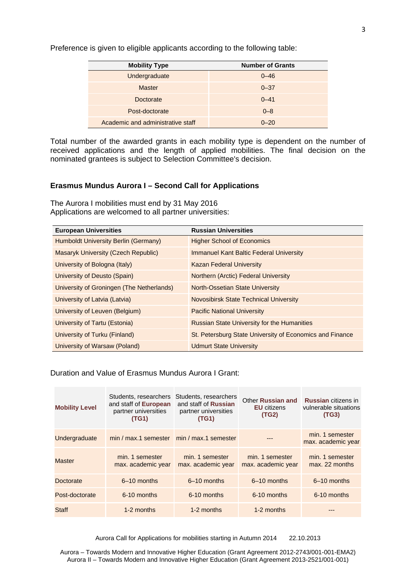Preference is given to eligible applicants according to the following table:

| <b>Mobility Type</b>              | <b>Number of Grants</b> |  |
|-----------------------------------|-------------------------|--|
| Undergraduate                     | $0 - 46$                |  |
| <b>Master</b>                     | $0 - 37$                |  |
| Doctorate                         | $0 - 41$                |  |
| Post-doctorate                    | $0 - 8$                 |  |
| Academic and administrative staff | $0 - 20$                |  |

Total number of the awarded grants in each mobility type is dependent on the number of received applications and the length of applied mobilities. The final decision on the nominated grantees is subject to Selection Committee's decision.

# **Erasmus Mundus Aurora I – Second Call for Applications**

The Aurora I mobilities must end by 31 May 2016 Applications are welcomed to all partner universities:

| <b>European Universities</b>               | <b>Russian Universities</b>                              |
|--------------------------------------------|----------------------------------------------------------|
| Humboldt University Berlin (Germany)       | <b>Higher School of Economics</b>                        |
| <b>Masaryk University (Czech Republic)</b> | <b>Immanuel Kant Baltic Federal University</b>           |
| University of Bologna (Italy)              | <b>Kazan Federal University</b>                          |
| University of Deusto (Spain)               | Northern (Arctic) Federal University                     |
| University of Groningen (The Netherlands)  | North-Ossetian State University                          |
| University of Latvia (Latvia)              | <b>Novosibirsk State Technical University</b>            |
| University of Leuven (Belgium)             | <b>Pacific National University</b>                       |
| University of Tartu (Estonia)              | <b>Russian State University for the Humanities</b>       |
| University of Turku (Finland)              | St. Petersburg State University of Economics and Finance |
| University of Warsaw (Poland)              | <b>Udmurt State University</b>                           |

Duration and Value of Erasmus Mundus Aurora I Grant:

| <b>Mobility Level</b> | Students, researchers<br>and staff of European<br>partner universities<br>(TG1) | Students, researchers<br>and staff of Russian<br>partner universities<br>(TG1) | Other Russian and<br><b>EU</b> citizens<br>(TG2) | <b>Russian</b> citizens in<br>vulnerable situations<br>(TG3) |
|-----------------------|---------------------------------------------------------------------------------|--------------------------------------------------------------------------------|--------------------------------------------------|--------------------------------------------------------------|
| Undergraduate         | min / max.1 semester   min / max.1 semester                                     |                                                                                |                                                  | min. 1 semester<br>max. academic year                        |
| <b>Master</b>         | min. 1 semester<br>max. academic year                                           | min. 1 semester<br>max. academic year                                          | min. 1 semester<br>max. academic year            | min. 1 semester<br>max. 22 months                            |
| Doctorate             | 6-10 months                                                                     | $6-10$ months                                                                  | $6-10$ months                                    | 6-10 months                                                  |
| Post-doctorate        | 6-10 months                                                                     | 6-10 months                                                                    | 6-10 months                                      | 6-10 months                                                  |
| Staff                 | 1-2 months                                                                      | 1-2 months                                                                     | 1-2 months                                       |                                                              |

Aurora Call for Applications for mobilities starting in Autumn 2014 22.10.2013

Aurora – Towards Modern and Innovative Higher Education (Grant Agreement 2012-2743/001-001-EMA2) Aurora II – Towards Modern and Innovative Higher Education (Grant Agreement 2013-2521/001-001)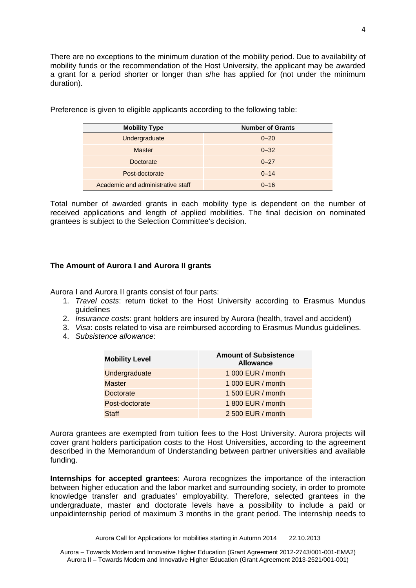There are no exceptions to the minimum duration of the mobility period. Due to availability of mobility funds or the recommendation of the Host University, the applicant may be awarded a grant for a period shorter or longer than s/he has applied for (not under the minimum duration).

| <b>Mobility Type</b>              | <b>Number of Grants</b> |
|-----------------------------------|-------------------------|
| Undergraduate                     | $0 - 20$                |
| <b>Master</b>                     | $0 - 32$                |
| Doctorate                         | $0 - 27$                |
| Post-doctorate                    | $0 - 14$                |
| Academic and administrative staff | $0 - 16$                |

Preference is given to eligible applicants according to the following table:

Total number of awarded grants in each mobility type is dependent on the number of received applications and length of applied mobilities. The final decision on nominated grantees is subject to the Selection Committee's decision.

# **The Amount of Aurora I and Aurora II grants**

Aurora I and Aurora II grants consist of four parts:

- 1. *Travel costs*: return ticket to the Host University according to Erasmus Mundus guidelines
- 2. *Insurance costs*: grant holders are insured by Aurora (health, travel and accident)
- 3. *Visa*: costs related to visa are reimbursed according to Erasmus Mundus guidelines.
- 4. *Subsistence allowance*:

| <b>Mobility Level</b> | <b>Amount of Subsistence</b><br><b>Allowance</b> |
|-----------------------|--------------------------------------------------|
| Undergraduate         | 1 000 EUR / month                                |
| <b>Master</b>         | 1 000 EUR / month                                |
| <b>Doctorate</b>      | 1 500 EUR / month                                |
| Post-doctorate        | 1 800 EUR / month                                |
| <b>Staff</b>          | 2 500 EUR / month                                |

Aurora grantees are exempted from tuition fees to the Host University. Aurora projects will cover grant holders participation costs to the Host Universities, according to the agreement described in the Memorandum of Understanding between partner universities and available funding.

**Internships for accepted grantees**: Aurora recognizes the importance of the interaction between higher education and the labor market and surrounding society, in order to promote knowledge transfer and graduates' employability. Therefore, selected grantees in the undergraduate, master and doctorate levels have a possibility to include a paid or unpaidinternship period of maximum 3 months in the grant period. The internship needs to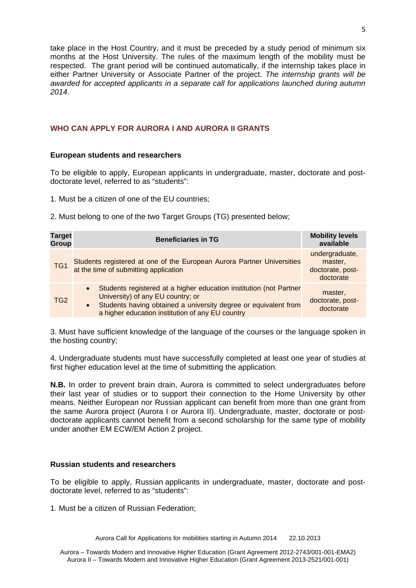take place in the Host Country, and it must be preceded by a study period of minimum six months at the Host University. The rules of the maximum length of the mobility must be respected. The grant period will be continued automatically, if the internship takes place in either Partner University or Associate Partner of the project. *The internship grants will be awarded for accepted applicants in a separate call for applications launched during autumn 2014*.

# **WHO CAN APPLY FOR AURORA I AND AURORA II GRANTS**

# **European students and researchers**

To be eligible to apply, European applicants in undergraduate, master, doctorate and postdoctorate level, referred to as "students":

1. Must be a citizen of one of the EU countries;

2. Must belong to one of the two Target Groups (TG) presented below;

| <b>Target</b><br>Group | <b>Beneficiaries in TG</b>                                                                                                                                                                                                                  | <b>Mobility levels</b><br>available                        |
|------------------------|---------------------------------------------------------------------------------------------------------------------------------------------------------------------------------------------------------------------------------------------|------------------------------------------------------------|
| TG <sub>1</sub>        | Students registered at one of the European Aurora Partner Universities<br>at the time of submitting application                                                                                                                             | undergraduate,<br>master,<br>doctorate, post-<br>doctorate |
| TG <sub>2</sub>        | Students registered at a higher education institution (not Partner<br>University) of any EU country; or<br>Students having obtained a university degree or equivalent from<br>$\bullet$<br>a higher education institution of any EU country | master,<br>doctorate, post-<br>doctorate                   |

3. Must have sufficient knowledge of the language of the courses or the language spoken in the hosting country;

4. Undergraduate students must have successfully completed at least one year of studies at first higher education level at the time of submitting the application.

**N.B.** In order to prevent brain drain, Aurora is committed to select undergraduates before their last year of studies or to support their connection to the Home University by other means. Neither European nor Russian applicant can benefit from more than one grant from the same Aurora project (Aurora I or Aurora II). Undergraduate, master, doctorate or postdoctorate applicants cannot benefit from a second scholarship for the same type of mobility under another EM ECW/EM Action 2 project.

# **Russian students and researchers**

To be eligible to apply, Russian applicants in undergraduate, master, doctorate and postdoctorate level, referred to as "students":

1. Must be a citizen of Russian Federation;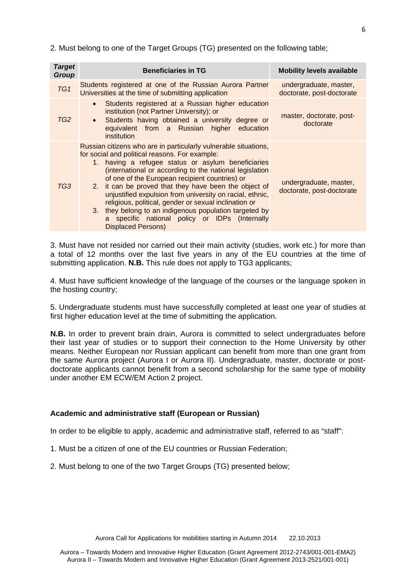2. Must belong to one of the Target Groups (TG) presented on the following table;

| <b>Target</b><br>Group | <b>Beneficiaries in TG</b>                                                                                                                                                                                                                                                                                                                                                                                                                                                                                                                                                                                  | <b>Mobility levels available</b>                    |
|------------------------|-------------------------------------------------------------------------------------------------------------------------------------------------------------------------------------------------------------------------------------------------------------------------------------------------------------------------------------------------------------------------------------------------------------------------------------------------------------------------------------------------------------------------------------------------------------------------------------------------------------|-----------------------------------------------------|
| TG <sub>1</sub>        | Students registered at one of the Russian Aurora Partner<br>Universities at the time of submitting application                                                                                                                                                                                                                                                                                                                                                                                                                                                                                              | undergraduate, master,<br>doctorate, post-doctorate |
| TG <sub>2</sub>        | Students registered at a Russian higher education<br>$\bullet$<br>institution (not Partner University); or<br>Students having obtained a university degree or<br>$\bullet$<br>equivalent from a Russian higher education<br>institution                                                                                                                                                                                                                                                                                                                                                                     | master, doctorate, post-<br>doctorate               |
| TG3                    | Russian citizens who are in particularly vulnerable situations,<br>for social and political reasons. For example:<br>1. having a refugee status or asylum beneficiaries<br>(international or according to the national legislation<br>of one of the European recipient countries) or<br>2. it can be proved that they have been the object of<br>unjustified expulsion from university on racial, ethnic,<br>religious, political, gender or sexual inclination or<br>3. they belong to an indigenous population targeted by<br>a specific national policy or IDPs (Internally<br><b>Displaced Persons)</b> | undergraduate, master,<br>doctorate, post-doctorate |

3. Must have not resided nor carried out their main activity (studies, work etc.) for more than a total of 12 months over the last five years in any of the EU countries at the time of submitting application. **N.B.** This rule does not apply to TG3 applicants;

4. Must have sufficient knowledge of the language of the courses or the language spoken in the hosting country;

5. Undergraduate students must have successfully completed at least one year of studies at first higher education level at the time of submitting the application.

**N.B.** In order to prevent brain drain, Aurora is committed to select undergraduates before their last year of studies or to support their connection to the Home University by other means. Neither European nor Russian applicant can benefit from more than one grant from the same Aurora project (Aurora I or Aurora II). Undergraduate, master, doctorate or postdoctorate applicants cannot benefit from a second scholarship for the same type of mobility under another EM ECW/EM Action 2 project.

# **Academic and administrative staff (European or Russian)**

In order to be eligible to apply, academic and administrative staff, referred to as "staff":

- 1. Must be a citizen of one of the EU countries or Russian Federation;
- 2. Must belong to one of the two Target Groups (TG) presented below;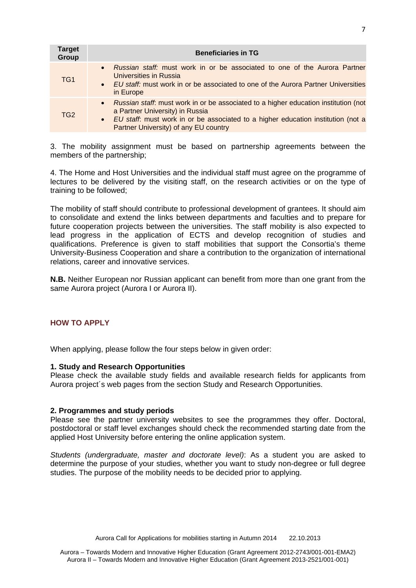| <b>Target</b><br>Group | <b>Beneficiaries in TG</b>                                                                                                                                                                                                                              |
|------------------------|---------------------------------------------------------------------------------------------------------------------------------------------------------------------------------------------------------------------------------------------------------|
| TG <sub>1</sub>        | <i>Russian staff:</i> must work in or be associated to one of the Aurora Partner<br>$\bullet$<br>Universities in Russia<br>• EU staff: must work in or be associated to one of the Aurora Partner Universities<br>in Europe                             |
| TG <sub>2</sub>        | • Russian staff: must work in or be associated to a higher education institution (not<br>a Partner University) in Russia<br>• EU staff: must work in or be associated to a higher education institution (not a<br>Partner University) of any EU country |

3. The mobility assignment must be based on partnership agreements between the members of the partnership;

4. The Home and Host Universities and the individual staff must agree on the programme of lectures to be delivered by the visiting staff, on the research activities or on the type of training to be followed;

The mobility of staff should contribute to professional development of grantees. It should aim to consolidate and extend the links between departments and faculties and to prepare for future cooperation projects between the universities. The staff mobility is also expected to lead progress in the application of ECTS and develop recognition of studies and qualifications. Preference is given to staff mobilities that support the Consortia's theme University-Business Cooperation and share a contribution to the organization of international relations, career and innovative services.

**N.B.** Neither European nor Russian applicant can benefit from more than one grant from the same Aurora project (Aurora I or Aurora II).

# **HOW TO APPLY**

When applying, please follow the four steps below in given order:

# **1. Study and Research Opportunities**

Please check the available study fields and available research fields for applicants from Aurora project´s web pages from the section Study and Research Opportunities.

# **2. Programmes and study periods**

Please see the partner university websites to see the programmes they offer. Doctoral, postdoctoral or staff level exchanges should check the recommended starting date from the applied Host University before entering the online application system.

*Students (undergraduate, master and doctorate level)*: As a student you are asked to determine the purpose of your studies, whether you want to study non-degree or full degree studies. The purpose of the mobility needs to be decided prior to applying.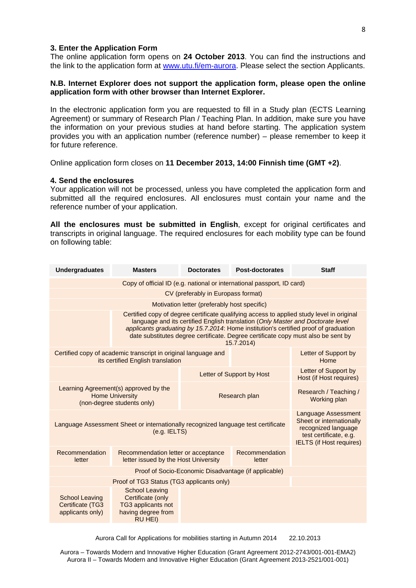#### **3. Enter the Application Form**

The online application form opens on **24 October 2013**. You can find the instructions and the link to the application form at www.utu.fi/em-aurora. Please select the section Applicants.

# **N.B. Internet Explorer does not support the application form, please open the online application form with other browser than Internet Explorer.**

In the electronic application form you are requested to fill in a Study plan (ECTS Learning Agreement) or summary of Research Plan / Teaching Plan. In addition, make sure you have the information on your previous studies at hand before starting. The application system provides you with an application number (reference number) – please remember to keep it for future reference.

Online application form closes on **11 December 2013, 14:00 Finnish time (GMT +2)**.

#### **4. Send the enclosures**

Your application will not be processed, unless you have completed the application form and submitted all the required enclosures. All enclosures must contain your name and the reference number of your application.

**All the enclosures must be submitted in English**, except for original certificates and transcripts in original language. The required enclosures for each mobility type can be found on following table:

| <b>Undergraduates</b>                                                                                                                                                                                                                                | <b>Masters</b>                                                                                                                                                                                                                                                                                                                                                          | <b>Doctorates</b>                            | <b>Post-doctorates</b> | <b>Staff</b>                          |  |  |
|------------------------------------------------------------------------------------------------------------------------------------------------------------------------------------------------------------------------------------------------------|-------------------------------------------------------------------------------------------------------------------------------------------------------------------------------------------------------------------------------------------------------------------------------------------------------------------------------------------------------------------------|----------------------------------------------|------------------------|---------------------------------------|--|--|
|                                                                                                                                                                                                                                                      | Copy of official ID (e.g. national or international passport, ID card)                                                                                                                                                                                                                                                                                                  |                                              |                        |                                       |  |  |
|                                                                                                                                                                                                                                                      |                                                                                                                                                                                                                                                                                                                                                                         | CV (preferably in Europass format)           |                        |                                       |  |  |
|                                                                                                                                                                                                                                                      |                                                                                                                                                                                                                                                                                                                                                                         | Motivation letter (preferably host specific) |                        |                                       |  |  |
|                                                                                                                                                                                                                                                      | Certified copy of degree certificate qualifying access to applied study level in original<br>language and its certified English translation (Only Master and Doctorate level<br>applicants graduating by 15.7.2014: Home institution's certified proof of graduation<br>date substitutes degree certificate. Degree certificate copy must also be sent by<br>15.7.2014) |                                              |                        |                                       |  |  |
| Certified copy of academic transcript in original language and<br>its certified English translation                                                                                                                                                  | Letter of Support by<br>Home                                                                                                                                                                                                                                                                                                                                            |                                              |                        |                                       |  |  |
|                                                                                                                                                                                                                                                      | Letter of Support by<br><b>Host (if Host requires)</b>                                                                                                                                                                                                                                                                                                                  |                                              |                        |                                       |  |  |
|                                                                                                                                                                                                                                                      | Learning Agreement(s) approved by the<br><b>Home University</b><br>(non-degree students only)                                                                                                                                                                                                                                                                           | Research plan                                |                        | Research / Teaching /<br>Working plan |  |  |
| <b>Language Assessment</b><br>Sheet or internationally<br>Language Assessment Sheet or internationally recognized language test certificate<br>recognized language<br>$(e.q.$ IELTS $)$<br>test certificate, e.g.<br><b>IELTS</b> (if Host requires) |                                                                                                                                                                                                                                                                                                                                                                         |                                              |                        |                                       |  |  |
| Recommendation<br>letter                                                                                                                                                                                                                             | Recommendation<br>Recommendation letter or acceptance<br>letter issued by the Host University<br>letter                                                                                                                                                                                                                                                                 |                                              |                        |                                       |  |  |
| Proof of Socio-Economic Disadvantage (if applicable)                                                                                                                                                                                                 |                                                                                                                                                                                                                                                                                                                                                                         |                                              |                        |                                       |  |  |
| Proof of TG3 Status (TG3 applicants only)                                                                                                                                                                                                            |                                                                                                                                                                                                                                                                                                                                                                         |                                              |                        |                                       |  |  |
| <b>School Leaving</b><br><b>Certificate (TG3</b><br>applicants only)                                                                                                                                                                                 | <b>School Leaving</b><br>Certificate (only<br>TG3 applicants not<br>having degree from<br><b>RU HEI)</b>                                                                                                                                                                                                                                                                |                                              |                        |                                       |  |  |

Aurora Call for Applications for mobilities starting in Autumn 2014 22.10.2013

Aurora – Towards Modern and Innovative Higher Education (Grant Agreement 2012-2743/001-001-EMA2) Aurora II – Towards Modern and Innovative Higher Education (Grant Agreement 2013-2521/001-001)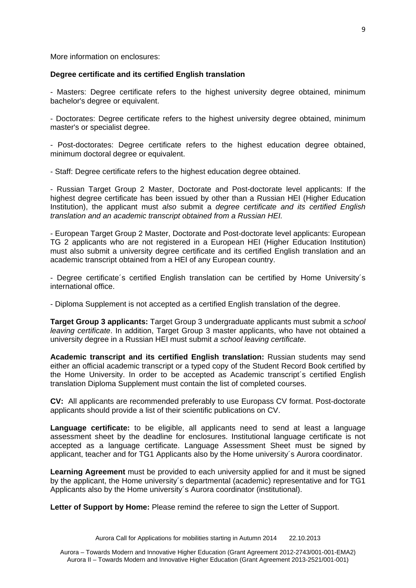More information on enclosures:

# **Degree certificate and its certified English translation**

- Masters: Degree certificate refers to the highest university degree obtained, minimum bachelor's degree or equivalent.

- Doctorates: Degree certificate refers to the highest university degree obtained, minimum master's or specialist degree.

- Post-doctorates: Degree certificate refers to the highest education degree obtained, minimum doctoral degree or equivalent.

- Staff: Degree certificate refers to the highest education degree obtained.

- Russian Target Group 2 Master, Doctorate and Post-doctorate level applicants: If the highest degree certificate has been issued by other than a Russian HEI (Higher Education Institution), the applicant must *also* submit a *degree certificate and its certified English translation and an academic transcript obtained from a Russian HEI.* 

- European Target Group 2 Master, Doctorate and Post-doctorate level applicants: European TG 2 applicants who are not registered in a European HEI (Higher Education Institution) must also submit a university degree certificate and its certified English translation and an academic transcript obtained from a HEI of any European country.

- Degree certificate´s certified English translation can be certified by Home University´s international office.

- Diploma Supplement is not accepted as a certified English translation of the degree.

**Target Group 3 applicants:** Target Group 3 undergraduate applicants must submit a *school leaving certificate*. In addition, Target Group 3 master applicants, who have not obtained a university degree in a Russian HEI must submit *a school leaving certificate*.

**Academic transcript and its certified English translation:** Russian students may send either an official academic transcript or a typed copy of the Student Record Book certified by the Home University. In order to be accepted as Academic transcript´s certified English translation Diploma Supplement must contain the list of completed courses.

**CV:** All applicants are recommended preferably to use Europass CV format. Post-doctorate applicants should provide a list of their scientific publications on CV.

**Language certificate:** to be eligible, all applicants need to send at least a language assessment sheet by the deadline for enclosures. Institutional language certificate is not accepted as a language certificate. Language Assessment Sheet must be signed by applicant, teacher and for TG1 Applicants also by the Home university´s Aurora coordinator.

**Learning Agreement** must be provided to each university applied for and it must be signed by the applicant, the Home university´s departmental (academic) representative and for TG1 Applicants also by the Home university´s Aurora coordinator (institutional).

Letter of Support by Home: Please remind the referee to sign the Letter of Support.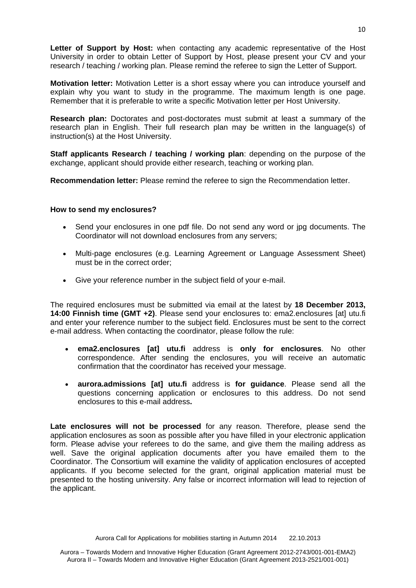**Letter of Support by Host:** when contacting any academic representative of the Host University in order to obtain Letter of Support by Host, please present your CV and your research / teaching / working plan. Please remind the referee to sign the Letter of Support.

**Motivation letter:** Motivation Letter is a short essay where you can introduce yourself and explain why you want to study in the programme. The maximum length is one page. Remember that it is preferable to write a specific Motivation letter per Host University.

**Research plan:** Doctorates and post-doctorates must submit at least a summary of the research plan in English. Their full research plan may be written in the language(s) of instruction(s) at the Host University.

**Staff applicants Research / teaching / working plan**: depending on the purpose of the exchange, applicant should provide either research, teaching or working plan.

**Recommendation letter:** Please remind the referee to sign the Recommendation letter.

# **How to send my enclosures?**

- Send your enclosures in one pdf file. Do not send any word or jpg documents. The Coordinator will not download enclosures from any servers;
- Multi-page enclosures (e.g. Learning Agreement or Language Assessment Sheet) must be in the correct order;
- Give your reference number in the subject field of your e-mail.

The required enclosures must be submitted via email at the latest by **18 December 2013, 14:00 Finnish time (GMT +2)**. Please send your enclosures to: ema2.enclosures [at] utu.fi and enter your reference number to the subject field. Enclosures must be sent to the correct e-mail address. When contacting the coordinator, please follow the rule:

- **ema2.enclosures [at] utu.fi** address is **only for enclosures**. No other correspondence. After sending the enclosures, you will receive an automatic confirmation that the coordinator has received your message.
- **aurora.admissions [at] utu.fi** address is **for guidance**. Please send all the questions concerning application or enclosures to this address. Do not send enclosures to this e-mail address**.**

**Late enclosures will not be processed** for any reason. Therefore, please send the application enclosures as soon as possible after you have filled in your electronic application form. Please advise your referees to do the same, and give them the mailing address as well. Save the original application documents after you have emailed them to the Coordinator. The Consortium will examine the validity of application enclosures of accepted applicants. If you become selected for the grant, original application material must be presented to the hosting university. Any false or incorrect information will lead to rejection of the applicant.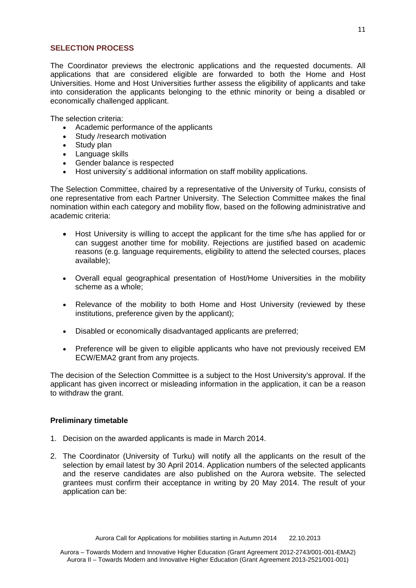# **SELECTION PROCESS**

The Coordinator previews the electronic applications and the requested documents. All applications that are considered eligible are forwarded to both the Home and Host Universities. Home and Host Universities further assess the eligibility of applicants and take into consideration the applicants belonging to the ethnic minority or being a disabled or economically challenged applicant.

The selection criteria:

- Academic performance of the applicants
- Study /research motivation
- Study plan
- Language skills
- Gender balance is respected
- Host university´s additional information on staff mobility applications.

The Selection Committee, chaired by a representative of the University of Turku, consists of one representative from each Partner University. The Selection Committee makes the final nomination within each category and mobility flow, based on the following administrative and academic criteria:

- Host University is willing to accept the applicant for the time s/he has applied for or can suggest another time for mobility. Rejections are justified based on academic reasons (e.g. language requirements, eligibility to attend the selected courses, places available);
- Overall equal geographical presentation of Host/Home Universities in the mobility scheme as a whole;
- Relevance of the mobility to both Home and Host University (reviewed by these institutions, preference given by the applicant);
- Disabled or economically disadvantaged applicants are preferred;
- Preference will be given to eligible applicants who have not previously received EM ECW/EMA2 grant from any projects.

The decision of the Selection Committee is a subject to the Host University's approval. If the applicant has given incorrect or misleading information in the application, it can be a reason to withdraw the grant.

# **Preliminary timetable**

- 1. Decision on the awarded applicants is made in March 2014.
- 2. The Coordinator (University of Turku) will notify all the applicants on the result of the selection by email latest by 30 April 2014. Application numbers of the selected applicants and the reserve candidates are also published on the Aurora website. The selected grantees must confirm their acceptance in writing by 20 May 2014. The result of your application can be: